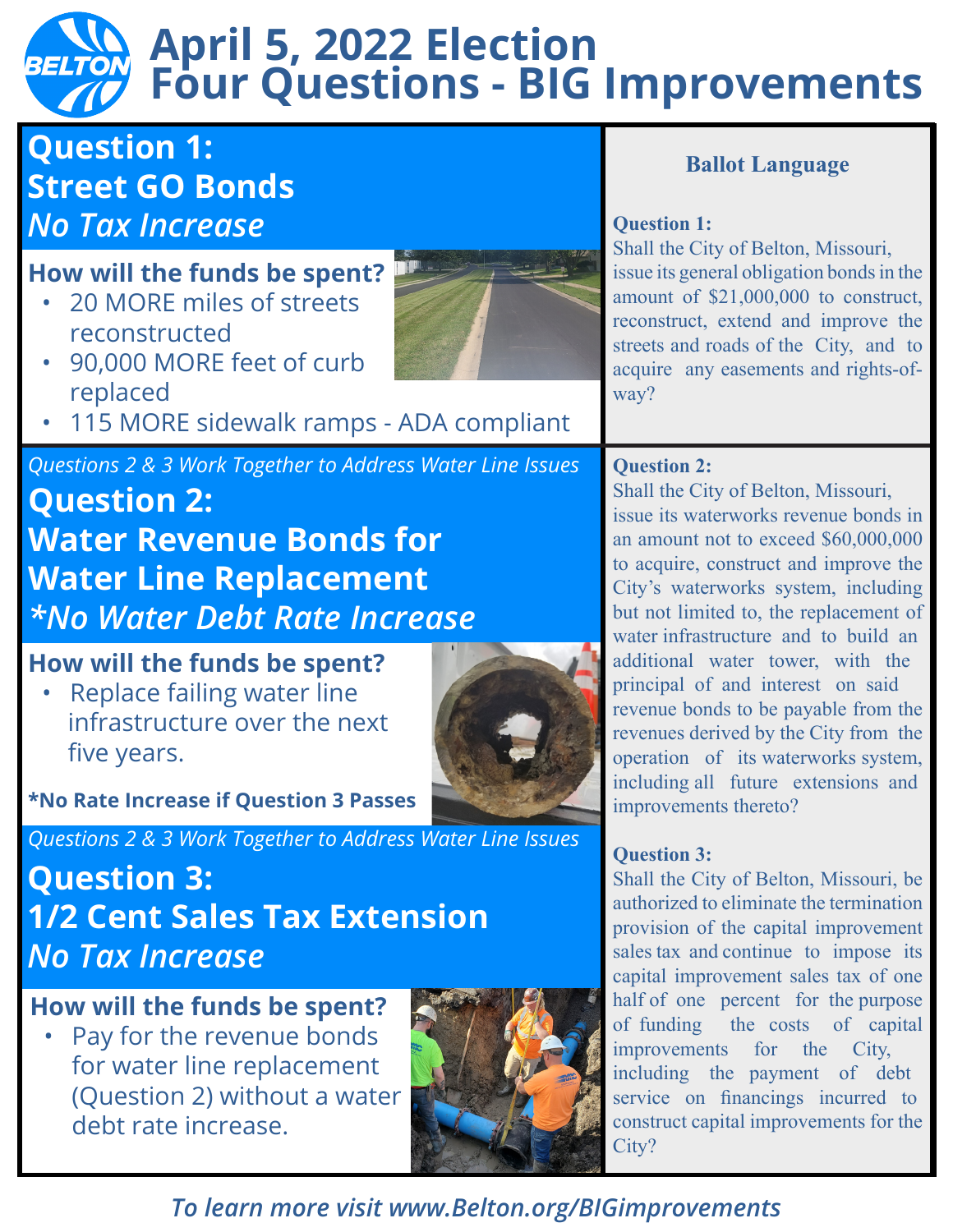# **April 5, 2022 Election Four Questions - BIG Improvements**

# **Question 1: Street GO Bonds**  *No Tax Increase*

# **How will the funds be spent?**

• 20 MORE miles of streets reconstructed



- 90,000 MORE feet of curb replaced
- 115 MORE sidewalk ramps ADA compliant

### *Questions 2 & 3 Work Together to Address Water Line Issues*

**Question 2: Water Revenue Bonds for Water Line Replacement** *\*No Water Debt Rate Increase*

# **How will the funds be spent?**

• Replace failing water line infrastructure over the next five years.



**\*No Rate Increase if Question 3 Passes**

*Questions 2 & 3 Work Together to Address Water Line Issues*

# **Question 3: 1/2 Cent Sales Tax Extension**  *No Tax Increase*

## **How will the funds be spent?**

Pay for the revenue bonds for water line replacement (Question 2) without a water debt rate increase.



## **Ballot Language**

#### **Question 1:**

Shall the City of Belton, Missouri, issue its general obligation bonds in the amount of \$21,000,000 to construct, reconstruct, extend and improve the streets and roads of the City, and to acquire any easements and rights-ofway?

### **Question 2:**

Shall the City of Belton, Missouri, issue its waterworks revenue bonds in an amount not to exceed \$60,000,000 to acquire, construct and improve the City's waterworks system, including but not limited to, the replacement of water infrastructure and to build an additional water tower, with the principal of and interest on said revenue bonds to be payable from the revenues derived by the City from the operation of its waterworks system, including all future extensions and improvements thereto?

### **Question 3:**

Shall the City of Belton, Missouri, be authorized to eliminate the termination provision of the capital improvement sales tax and continue to impose its capital improvement sales tax of one half of one percent for the purpose of funding the costs of capital improvements for the City, including the payment of debt service on financings incurred to construct capital improvements for the City?

*To learn more visit www.Belton.org/BIGimprovements*